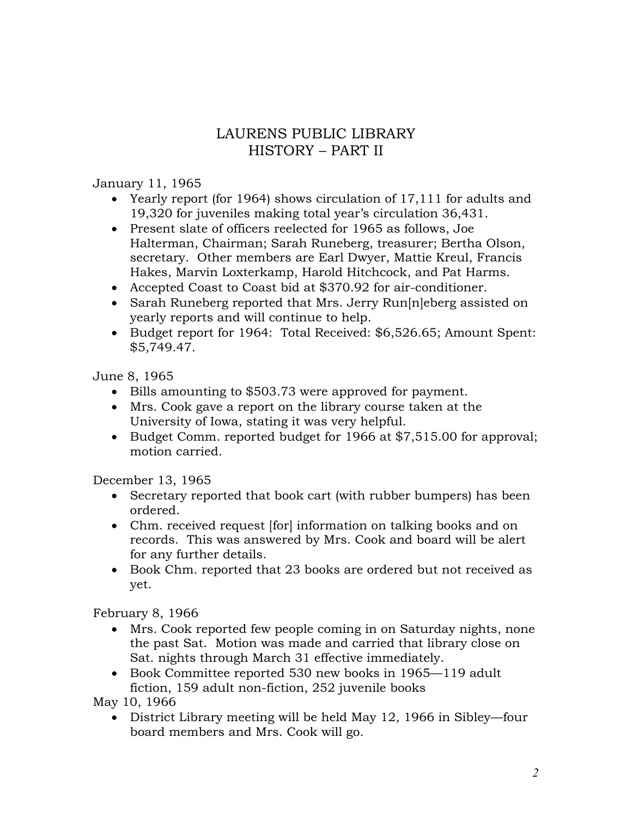## LAURENS PUBLIC LIBRARY HISTORY – PART II

## January 11, 1965

- Yearly report (for 1964) shows circulation of 17,111 for adults and 19,320 for juveniles making total year's circulation 36,431.
- Present slate of officers reelected for 1965 as follows, Joe Halterman, Chairman; Sarah Runeberg, treasurer; Bertha Olson, secretary. Other members are Earl Dwyer, Mattie Kreul, Francis Hakes, Marvin Loxterkamp, Harold Hitchcock, and Pat Harms.
- Accepted Coast to Coast bid at \$370.92 for air-conditioner.
- Sarah Runeberg reported that Mrs. Jerry Run[n]eberg assisted on yearly reports and will continue to help.
- Budget report for 1964: Total Received: \$6,526.65; Amount Spent: \$5,749.47.

June 8, 1965

- Bills amounting to \$503.73 were approved for payment.
- Mrs. Cook gave a report on the library course taken at the University of Iowa, stating it was very helpful.
- Budget Comm. reported budget for 1966 at \$7,515.00 for approval; motion carried.

December 13, 1965

- Secretary reported that book cart (with rubber bumpers) has been ordered.
- Chm. received request [for] information on talking books and on records. This was answered by Mrs. Cook and board will be alert for any further details.
- Book Chm. reported that 23 books are ordered but not received as yet.

February 8, 1966

- Mrs. Cook reported few people coming in on Saturday nights, none the past Sat. Motion was made and carried that library close on Sat. nights through March 31 effective immediately.
- Book Committee reported 530 new books in 1965—119 adult fiction, 159 adult non-fiction, 252 juvenile books

May 10, 1966

 District Library meeting will be held May 12, 1966 in Sibley—four board members and Mrs. Cook will go.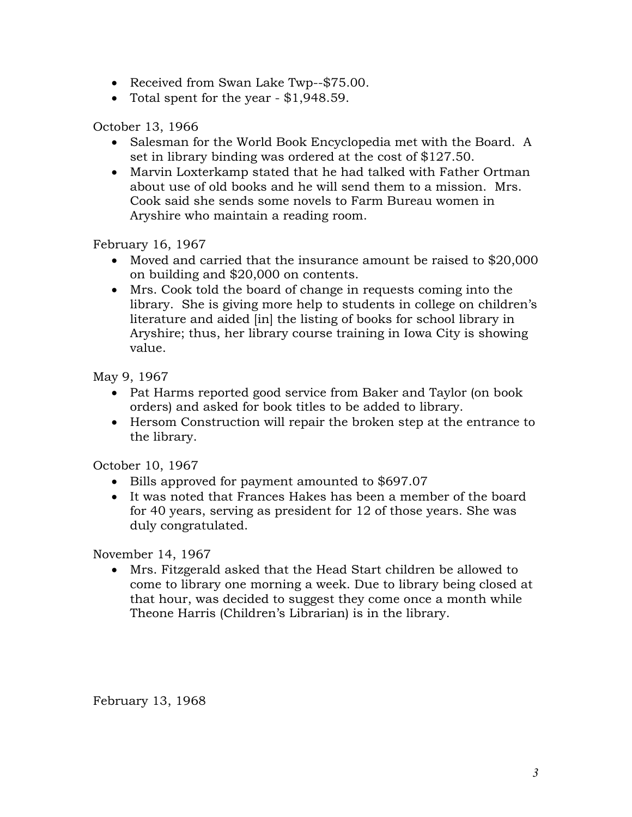- Received from Swan Lake Twp--\$75.00.
- Total spent for the year \$1,948.59.

October 13, 1966

- Salesman for the World Book Encyclopedia met with the Board. A set in library binding was ordered at the cost of \$127.50.
- Marvin Loxterkamp stated that he had talked with Father Ortman about use of old books and he will send them to a mission. Mrs. Cook said she sends some novels to Farm Bureau women in Aryshire who maintain a reading room.

February 16, 1967

- Moved and carried that the insurance amount be raised to \$20,000 on building and \$20,000 on contents.
- Mrs. Cook told the board of change in requests coming into the library. She is giving more help to students in college on children's literature and aided [in] the listing of books for school library in Aryshire; thus, her library course training in Iowa City is showing value.

May 9, 1967

- Pat Harms reported good service from Baker and Taylor (on book orders) and asked for book titles to be added to library.
- Hersom Construction will repair the broken step at the entrance to the library.

October 10, 1967

- Bills approved for payment amounted to \$697.07
- It was noted that Frances Hakes has been a member of the board for 40 years, serving as president for 12 of those years. She was duly congratulated.

November 14, 1967

 Mrs. Fitzgerald asked that the Head Start children be allowed to come to library one morning a week. Due to library being closed at that hour, was decided to suggest they come once a month while Theone Harris (Children's Librarian) is in the library.

February 13, 1968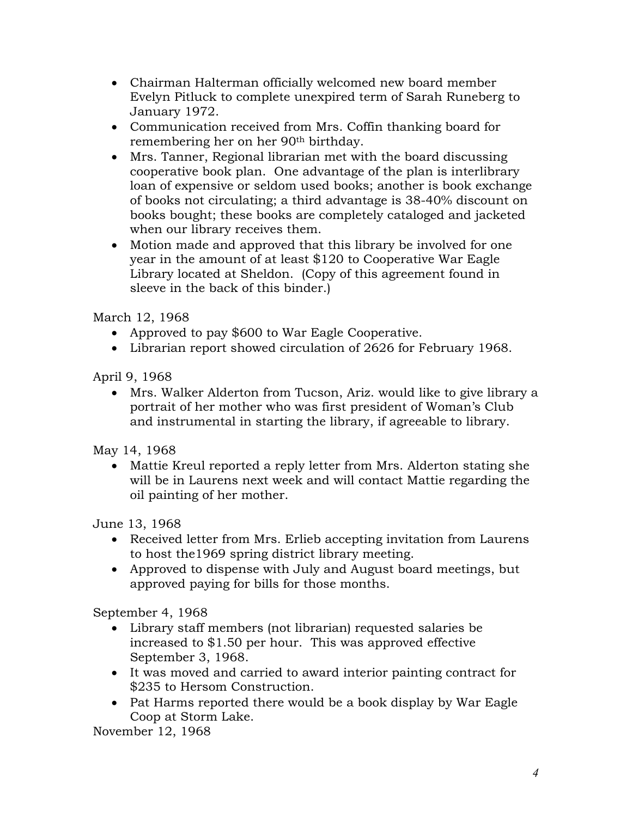- Chairman Halterman officially welcomed new board member Evelyn Pitluck to complete unexpired term of Sarah Runeberg to January 1972.
- Communication received from Mrs. Coffin thanking board for remembering her on her 90th birthday.
- Mrs. Tanner, Regional librarian met with the board discussing cooperative book plan. One advantage of the plan is interlibrary loan of expensive or seldom used books; another is book exchange of books not circulating; a third advantage is 38-40% discount on books bought; these books are completely cataloged and jacketed when our library receives them.
- Motion made and approved that this library be involved for one year in the amount of at least \$120 to Cooperative War Eagle Library located at Sheldon. (Copy of this agreement found in sleeve in the back of this binder.)

March 12, 1968

- Approved to pay \$600 to War Eagle Cooperative.
- Librarian report showed circulation of 2626 for February 1968.

April 9, 1968

 Mrs. Walker Alderton from Tucson, Ariz. would like to give library a portrait of her mother who was first president of Woman's Club and instrumental in starting the library, if agreeable to library.

May 14, 1968

 Mattie Kreul reported a reply letter from Mrs. Alderton stating she will be in Laurens next week and will contact Mattie regarding the oil painting of her mother.

June 13, 1968

- Received letter from Mrs. Erlieb accepting invitation from Laurens to host the1969 spring district library meeting.
- Approved to dispense with July and August board meetings, but approved paying for bills for those months.

September 4, 1968

- Library staff members (not librarian) requested salaries be increased to \$1.50 per hour. This was approved effective September 3, 1968.
- It was moved and carried to award interior painting contract for \$235 to Hersom Construction.
- Pat Harms reported there would be a book display by War Eagle Coop at Storm Lake.

November 12, 1968